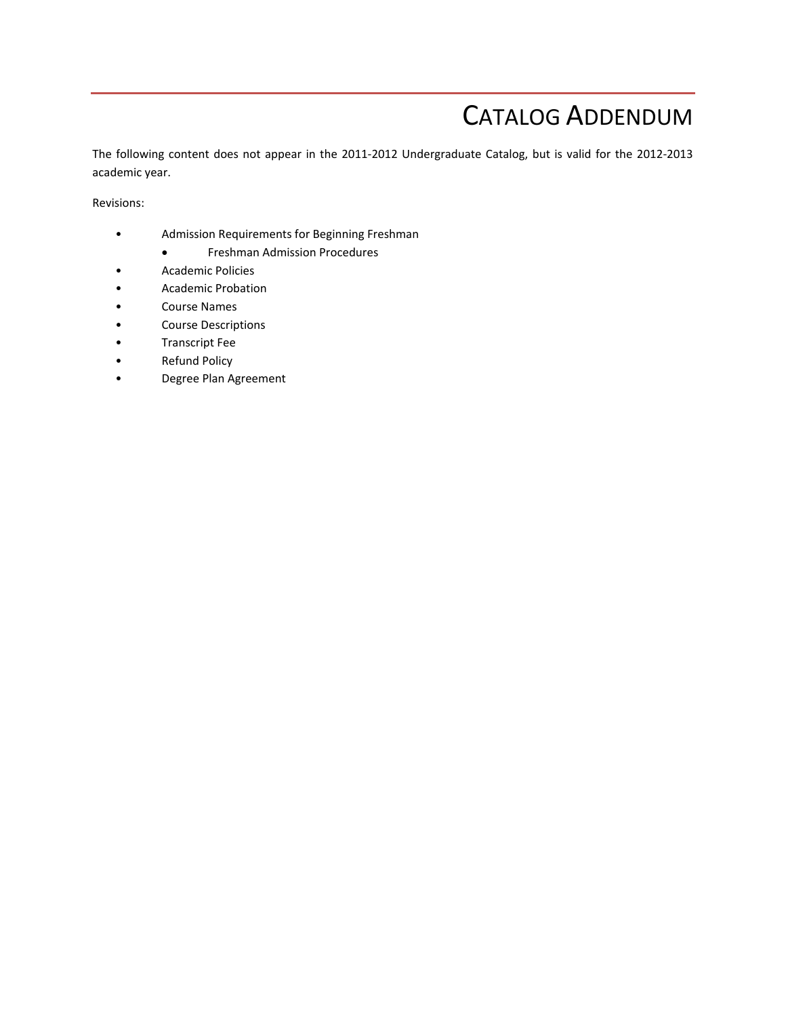# CATALOG ADDENDUM

The following content does not appear in the 2011‐2012 Undergraduate Catalog, but is valid for the 2012‐2013 academic year.

Revisions:

- Admission Requirements for Beginning Freshman
	- Freshman Admission Procedures
- Academic Policies
- Academic Probation
- Course Names
- Course Descriptions
- Transcript Fee
- Refund Policy
- Degree Plan Agreement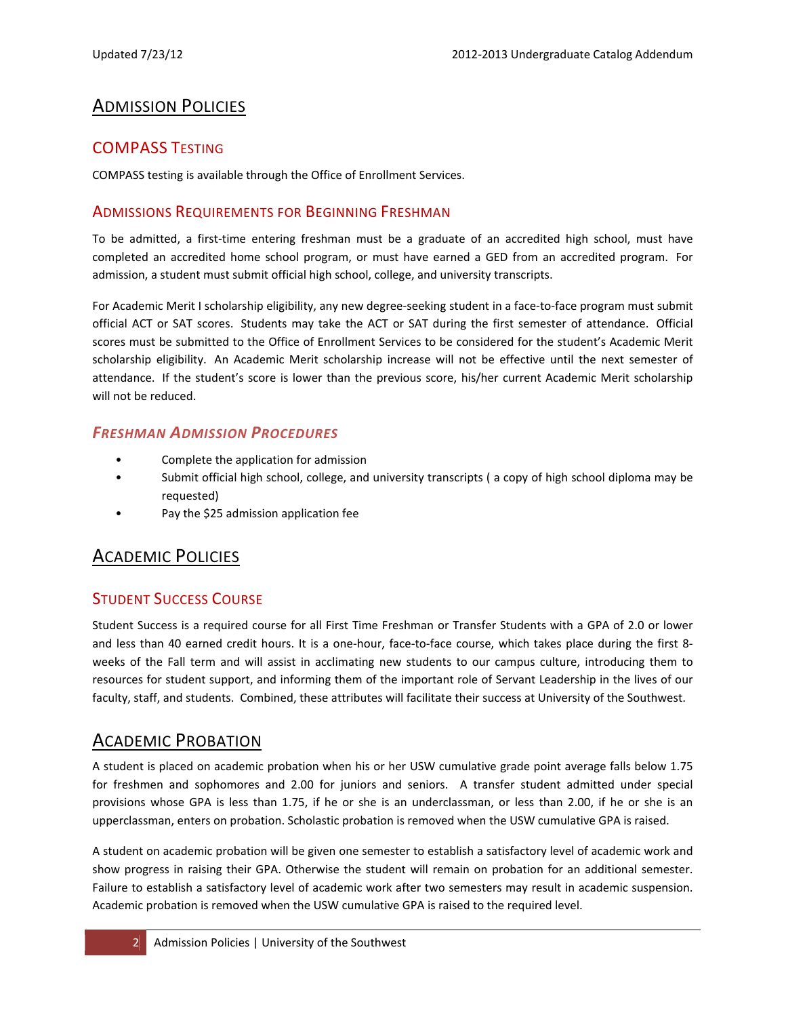## ADMISSION POLICIES

#### COMPASS TESTING

COMPASS testing is available through the Office of Enrollment Services.

#### ADMISSIONS REQUIREMENTS FOR BEGINNING FRESHMAN

To be admitted, a first‐time entering freshman must be a graduate of an accredited high school, must have completed an accredited home school program, or must have earned a GED from an accredited program. For admission, a student must submit official high school, college, and university transcripts.

For Academic Merit I scholarship eligibility, any new degree-seeking student in a face-to-face program must submit official ACT or SAT scores. Students may take the ACT or SAT during the first semester of attendance. Official scores must be submitted to the Office of Enrollment Services to be considered for the student's Academic Merit scholarship eligibility. An Academic Merit scholarship increase will not be effective until the next semester of attendance. If the student's score is lower than the previous score, his/her current Academic Merit scholarship will not be reduced.

#### *FRESHMAN ADMISSION PROCEDURES*

- Complete the application for admission
- Submit official high school, college, and university transcripts ( a copy of high school diploma may be requested)
- Pay the \$25 admission application fee

## ACADEMIC POLICIES

#### STUDENT SUCCESS COURSE

Student Success is a required course for all First Time Freshman or Transfer Students with a GPA of 2.0 or lower and less than 40 earned credit hours. It is a one-hour, face-to-face course, which takes place during the first 8weeks of the Fall term and will assist in acclimating new students to our campus culture, introducing them to resources for student support, and informing them of the important role of Servant Leadership in the lives of our faculty, staff, and students. Combined, these attributes will facilitate their success at University of the Southwest.

## ACADEMIC PROBATION

A student is placed on academic probation when his or her USW cumulative grade point average falls below 1.75 for freshmen and sophomores and 2.00 for juniors and seniors. A transfer student admitted under special provisions whose GPA is less than 1.75, if he or she is an underclassman, or less than 2.00, if he or she is an upperclassman, enters on probation. Scholastic probation is removed when the USW cumulative GPA is raised.

A student on academic probation will be given one semester to establish a satisfactory level of academic work and show progress in raising their GPA. Otherwise the student will remain on probation for an additional semester. Failure to establish a satisfactory level of academic work after two semesters may result in academic suspension. Academic probation is removed when the USW cumulative GPA is raised to the required level.